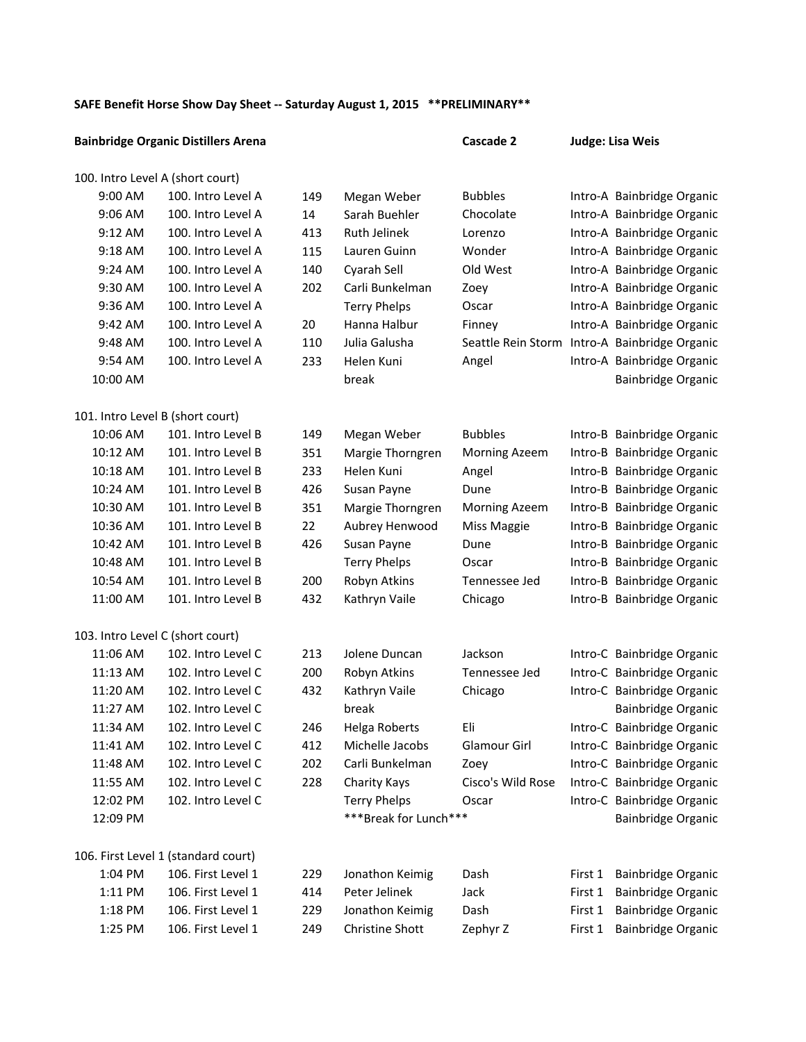## SAFE Benefit Horse Show Day Sheet -- Saturday August 1, 2015 **\*\*PRELIMINARY\*\***

|                                  | <b>Bainbridge Organic Distillers Arena</b> |     |                       | Cascade 2            |         | Judge: Lisa Weis           |
|----------------------------------|--------------------------------------------|-----|-----------------------|----------------------|---------|----------------------------|
| 100. Intro Level A (short court) |                                            |     |                       |                      |         |                            |
| 9:00 AM                          | 100. Intro Level A                         | 149 | Megan Weber           | <b>Bubbles</b>       |         | Intro-A Bainbridge Organic |
| 9:06 AM                          | 100. Intro Level A                         | 14  | Sarah Buehler         | Chocolate            |         | Intro-A Bainbridge Organic |
| 9:12 AM                          | 100. Intro Level A                         | 413 | Ruth Jelinek          | Lorenzo              |         | Intro-A Bainbridge Organic |
| 9:18 AM                          | 100. Intro Level A                         | 115 | Lauren Guinn          | Wonder               |         | Intro-A Bainbridge Organic |
| 9:24 AM                          | 100. Intro Level A                         | 140 | Cyarah Sell           | Old West             |         | Intro-A Bainbridge Organic |
| 9:30 AM                          | 100. Intro Level A                         | 202 | Carli Bunkelman       | Zoey                 |         | Intro-A Bainbridge Organic |
| 9:36 AM                          | 100. Intro Level A                         |     | <b>Terry Phelps</b>   | Oscar                |         | Intro-A Bainbridge Organic |
| 9:42 AM                          | 100. Intro Level A                         | 20  | Hanna Halbur          | Finney               |         | Intro-A Bainbridge Organic |
| 9:48 AM                          | 100. Intro Level A                         | 110 | Julia Galusha         | Seattle Rein Storm   |         | Intro-A Bainbridge Organic |
| 9:54 AM                          | 100. Intro Level A                         | 233 | Helen Kuni            | Angel                |         | Intro-A Bainbridge Organic |
| 10:00 AM                         |                                            |     | break                 |                      |         | Bainbridge Organic         |
| 101. Intro Level B (short court) |                                            |     |                       |                      |         |                            |
| 10:06 AM                         | 101. Intro Level B                         | 149 | Megan Weber           | <b>Bubbles</b>       |         | Intro-B Bainbridge Organic |
| 10:12 AM                         | 101. Intro Level B                         | 351 | Margie Thorngren      | <b>Morning Azeem</b> |         | Intro-B Bainbridge Organic |
| 10:18 AM                         | 101. Intro Level B                         | 233 | Helen Kuni            | Angel                |         | Intro-B Bainbridge Organic |
| 10:24 AM                         | 101. Intro Level B                         | 426 | Susan Payne           | Dune                 |         | Intro-B Bainbridge Organic |
| 10:30 AM                         | 101. Intro Level B                         | 351 | Margie Thorngren      | Morning Azeem        |         | Intro-B Bainbridge Organic |
| 10:36 AM                         | 101. Intro Level B                         | 22  | Aubrey Henwood        | Miss Maggie          |         | Intro-B Bainbridge Organic |
| 10:42 AM                         | 101. Intro Level B                         | 426 | Susan Payne           | Dune                 |         | Intro-B Bainbridge Organic |
| 10:48 AM                         | 101. Intro Level B                         |     | <b>Terry Phelps</b>   | Oscar                |         | Intro-B Bainbridge Organic |
| 10:54 AM                         | 101. Intro Level B                         | 200 | Robyn Atkins          | Tennessee Jed        |         | Intro-B Bainbridge Organic |
| 11:00 AM                         | 101. Intro Level B                         | 432 | Kathryn Vaile         | Chicago              |         | Intro-B Bainbridge Organic |
| 103. Intro Level C (short court) |                                            |     |                       |                      |         |                            |
| 11:06 AM                         | 102. Intro Level C                         | 213 | Jolene Duncan         | Jackson              |         | Intro-C Bainbridge Organic |
| 11:13 AM                         | 102. Intro Level C                         | 200 | Robyn Atkins          | Tennessee Jed        |         | Intro-C Bainbridge Organic |
| 11:20 AM                         | 102. Intro Level C                         | 432 | Kathryn Vaile         | Chicago              |         | Intro-C Bainbridge Organic |
| 11:27 AM                         | 102. Intro Level C                         |     | break                 |                      |         | <b>Bainbridge Organic</b>  |
| 11:34 AM                         | 102. Intro Level C                         | 246 | Helga Roberts         | Eli                  |         | Intro-C Bainbridge Organic |
| 11:41 AM                         | 102. Intro Level C                         | 412 | Michelle Jacobs       | Glamour Girl         |         | Intro-C Bainbridge Organic |
| 11:48 AM                         | 102. Intro Level C                         | 202 | Carli Bunkelman       | Zoey                 |         | Intro-C Bainbridge Organic |
| 11:55 AM                         | 102. Intro Level C                         | 228 | Charity Kays          | Cisco's Wild Rose    |         | Intro-C Bainbridge Organic |
| 12:02 PM                         | 102. Intro Level C                         |     | <b>Terry Phelps</b>   | Oscar                |         | Intro-C Bainbridge Organic |
| 12:09 PM                         |                                            |     | ***Break for Lunch*** |                      |         | Bainbridge Organic         |
|                                  | 106. First Level 1 (standard court)        |     |                       |                      |         |                            |
| 1:04 PM                          | 106. First Level 1                         | 229 | Jonathon Keimig       | Dash                 | First 1 | Bainbridge Organic         |
| 1:11 PM                          | 106. First Level 1                         | 414 | Peter Jelinek         | Jack                 | First 1 | <b>Bainbridge Organic</b>  |
| 1:18 PM                          | 106. First Level 1                         | 229 | Jonathon Keimig       | Dash                 | First 1 | <b>Bainbridge Organic</b>  |
| 1:25 PM                          | 106. First Level 1                         | 249 | Christine Shott       | Zephyr Z             | First 1 | <b>Bainbridge Organic</b>  |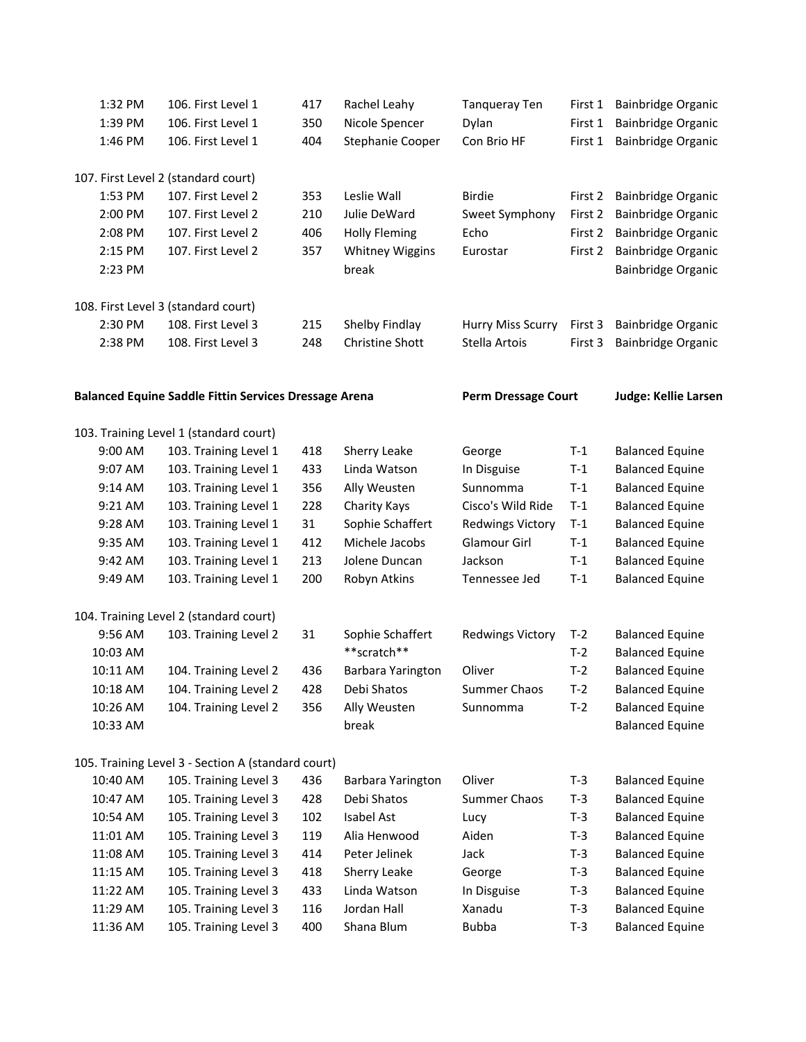| 1:32 PM  | 106. First Level 1                                           | 417 | Rachel Leahy           | <b>Tanqueray Ten</b>       | First 1 | <b>Bainbridge Organic</b>   |
|----------|--------------------------------------------------------------|-----|------------------------|----------------------------|---------|-----------------------------|
| 1:39 PM  | 106. First Level 1                                           | 350 | Nicole Spencer         | Dylan                      | First 1 | Bainbridge Organic          |
| 1:46 PM  | 106. First Level 1                                           | 404 | Stephanie Cooper       | Con Brio HF                | First 1 | Bainbridge Organic          |
|          | 107. First Level 2 (standard court)                          |     |                        |                            |         |                             |
| 1:53 PM  | 107. First Level 2                                           | 353 | Leslie Wall            | <b>Birdie</b>              | First 2 | Bainbridge Organic          |
| 2:00 PM  | 107. First Level 2                                           | 210 | Julie DeWard           | Sweet Symphony             | First 2 | Bainbridge Organic          |
| 2:08 PM  | 107. First Level 2                                           | 406 | <b>Holly Fleming</b>   | Echo                       | First 2 | Bainbridge Organic          |
| 2:15 PM  | 107. First Level 2                                           | 357 | <b>Whitney Wiggins</b> | Eurostar                   | First 2 | Bainbridge Organic          |
| 2:23 PM  |                                                              |     | break                  |                            |         | Bainbridge Organic          |
|          | 108. First Level 3 (standard court)                          |     |                        |                            |         |                             |
| 2:30 PM  | 108. First Level 3                                           | 215 | Shelby Findlay         | Hurry Miss Scurry          | First 3 | <b>Bainbridge Organic</b>   |
| 2:38 PM  | 108. First Level 3                                           | 248 | Christine Shott        | Stella Artois              | First 3 | Bainbridge Organic          |
|          | <b>Balanced Equine Saddle Fittin Services Dressage Arena</b> |     |                        | <b>Perm Dressage Court</b> |         | <b>Judge: Kellie Larsen</b> |
|          | 103. Training Level 1 (standard court)                       |     |                        |                            |         |                             |
| 9:00 AM  | 103. Training Level 1                                        | 418 | Sherry Leake           | George                     | $T-1$   | <b>Balanced Equine</b>      |
| 9:07 AM  | 103. Training Level 1                                        | 433 | Linda Watson           | In Disguise                | $T-1$   | <b>Balanced Equine</b>      |
| 9:14 AM  | 103. Training Level 1                                        | 356 | Ally Weusten           | Sunnomma                   | $T-1$   | <b>Balanced Equine</b>      |
| 9:21 AM  | 103. Training Level 1                                        | 228 | Charity Kays           | Cisco's Wild Ride          | $T-1$   | <b>Balanced Equine</b>      |
| 9:28 AM  | 103. Training Level 1                                        | 31  | Sophie Schaffert       | <b>Redwings Victory</b>    | $T-1$   | <b>Balanced Equine</b>      |
| 9:35 AM  | 103. Training Level 1                                        | 412 | Michele Jacobs         | Glamour Girl               | $T-1$   | <b>Balanced Equine</b>      |
| 9:42 AM  | 103. Training Level 1                                        | 213 | Jolene Duncan          | Jackson                    | $T-1$   | <b>Balanced Equine</b>      |
| 9:49 AM  | 103. Training Level 1                                        | 200 | Robyn Atkins           | Tennessee Jed              | $T-1$   | <b>Balanced Equine</b>      |
|          | 104. Training Level 2 (standard court)                       |     |                        |                            |         |                             |
| 9:56 AM  | 103. Training Level 2                                        | 31  | Sophie Schaffert       | <b>Redwings Victory</b>    | $T-2$   | <b>Balanced Equine</b>      |
| 10:03 AM |                                                              |     | **scratch**            |                            | $T-2$   | <b>Balanced Equine</b>      |
| 10:11 AM | 104. Training Level 2                                        | 436 | Barbara Yarington      | Oliver                     | $T-2$   | <b>Balanced Equine</b>      |
| 10:18 AM | 104. Training Level 2                                        | 428 | Debi Shatos            | Summer Chaos               | T-2     | <b>Balanced Equine</b>      |
| 10:26 AM | 104. Training Level 2                                        | 356 | Ally Weusten           | Sunnomma                   | $T-2$   | <b>Balanced Equine</b>      |
| 10:33 AM |                                                              |     | break                  |                            |         | <b>Balanced Equine</b>      |
|          | 105. Training Level 3 - Section A (standard court)           |     |                        |                            |         |                             |
| 10:40 AM | 105. Training Level 3                                        | 436 | Barbara Yarington      | Oliver                     | $T-3$   | <b>Balanced Equine</b>      |
| 10:47 AM | 105. Training Level 3                                        | 428 | Debi Shatos            | <b>Summer Chaos</b>        | $T-3$   | <b>Balanced Equine</b>      |
| 10:54 AM | 105. Training Level 3                                        | 102 | <b>Isabel Ast</b>      | Lucy                       | $T-3$   | <b>Balanced Equine</b>      |
| 11:01 AM | 105. Training Level 3                                        | 119 | Alia Henwood           | Aiden                      | $T-3$   | <b>Balanced Equine</b>      |
| 11:08 AM | 105. Training Level 3                                        | 414 | Peter Jelinek          | Jack                       | $T-3$   | <b>Balanced Equine</b>      |
| 11:15 AM | 105. Training Level 3                                        | 418 | Sherry Leake           | George                     | $T-3$   | <b>Balanced Equine</b>      |
| 11:22 AM | 105. Training Level 3                                        | 433 | Linda Watson           | In Disguise                | $T-3$   | <b>Balanced Equine</b>      |
| 11:29 AM | 105. Training Level 3                                        | 116 | Jordan Hall            | Xanadu                     | $T-3$   | <b>Balanced Equine</b>      |
| 11:36 AM | 105. Training Level 3                                        | 400 | Shana Blum             | <b>Bubba</b>               | $T-3$   | <b>Balanced Equine</b>      |